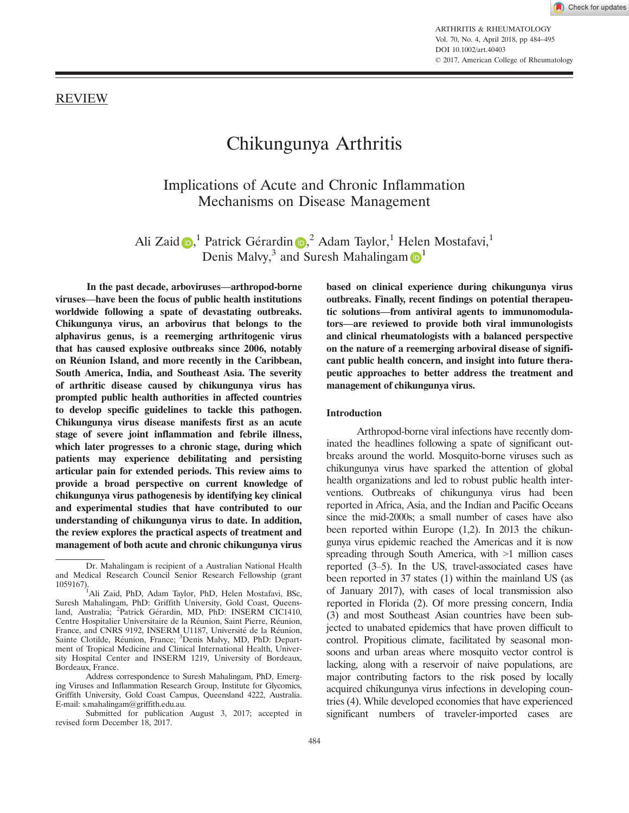ARTHRITIS & RHEUMATOLOGY Vol. 70, No. 4, April 2018, pp 484–495 DOI 10.1002/art.40403 © 2017, American College of Rheumatology

# REVIEW

# Chikungunya Arthritis

Implications of Acute and Chronic Inflammation Mechanisms on Disease Management

Ali Zaid D,<sup>1</sup> Patrick Gérardin D,<sup>2</sup> Adam Taylor,<sup>1</sup> Helen Mostafavi,<sup>1</sup> Denis Malvy,<sup>3</sup> and Suresh Mahalingam **D**<sup>1</sup>

In the past decade, arboviruses—arthropod-borne viruses—have been the focus of public health institutions worldwide following a spate of devastating outbreaks. Chikungunya virus, an arbovirus that belongs to the alphavirus genus, is a reemerging arthritogenic virus that has caused explosive outbreaks since 2006, notably on Reunion Island, and more recently in the Caribbean, South America, India, and Southeast Asia. The severity of arthritic disease caused by chikungunya virus has prompted public health authorities in affected countries to develop specific guidelines to tackle this pathogen. Chikungunya virus disease manifests first as an acute stage of severe joint inflammation and febrile illness, which later progresses to a chronic stage, during which patients may experience debilitating and persisting articular pain for extended periods. This review aims to provide a broad perspective on current knowledge of chikungunya virus pathogenesis by identifying key clinical and experimental studies that have contributed to our understanding of chikungunya virus to date. In addition, the review explores the practical aspects of treatment and management of both acute and chronic chikungunya virus

based on clinical experience during chikungunya virus outbreaks. Finally, recent findings on potential therapeutic solutions—from antiviral agents to immunomodulators—are reviewed to provide both viral immunologists and clinical rheumatologists with a balanced perspective on the nature of a reemerging arboviral disease of significant public health concern, and insight into future therapeutic approaches to better address the treatment and management of chikungunya virus.

#### Introduction

Arthropod-borne viral infections have recently dominated the headlines following a spate of significant outbreaks around the world. Mosquito-borne viruses such as chikungunya virus have sparked the attention of global health organizations and led to robust public health interventions. Outbreaks of chikungunya virus had been reported in Africa, Asia, and the Indian and Pacific Oceans since the mid-2000s; a small number of cases have also been reported within Europe (1,2). In 2013 the chikungunya virus epidemic reached the Americas and it is now spreading through South America, with  $>1$  million cases reported (3–5). In the US, travel-associated cases have been reported in 37 states (1) within the mainland US (as of January 2017), with cases of local transmission also reported in Florida (2). Of more pressing concern, India (3) and most Southeast Asian countries have been subjected to unabated epidemics that have proven difficult to control. Propitious climate, facilitated by seasonal monsoons and urban areas where mosquito vector control is lacking, along with a reservoir of naive populations, are major contributing factors to the risk posed by locally acquired chikungunya virus infections in developing countries (4). While developed economies that have experienced significant numbers of traveler-imported cases are

Dr. Mahalingam is recipient of a Australian National Health and Medical Research Council Senior Research Fellowship (grant

<sup>1059167).</sup> <sup>1</sup>Ali Zaid, PhD, Adam Taylor, PhD, Helen Mostafavi, BSc, Suresh Mahalingam, PhD: Griffith University, Gold Coast, Queensland, Australia; <sup>2</sup>Patrick Gérardin, MD, PhD: INSERM CIC1410, Centre Hospitalier Universitaire de la Reunion, Saint Pierre, Reunion, France, and CNRS 9192, INSERM U1187, Université de la Réunion, Sainte Clotilde, Réunion, France; <sup>3</sup>Denis Malvy, MD, PhD: Department of Tropical Medicine and Clinical International Health, University Hospital Center and INSERM 1219, University of Bordeaux, Bordeaux, France.

Address correspondence to Suresh Mahalingam, PhD, Emerging Viruses and Inflammation Research Group, Institute for Glycomics, Griffith University, Gold Coast Campus, Queensland 4222, Australia. E-mail: s.mahalingam@griffith.edu.au.

Submitted for publication August 3, 2017; accepted in revised form December 18, 2017.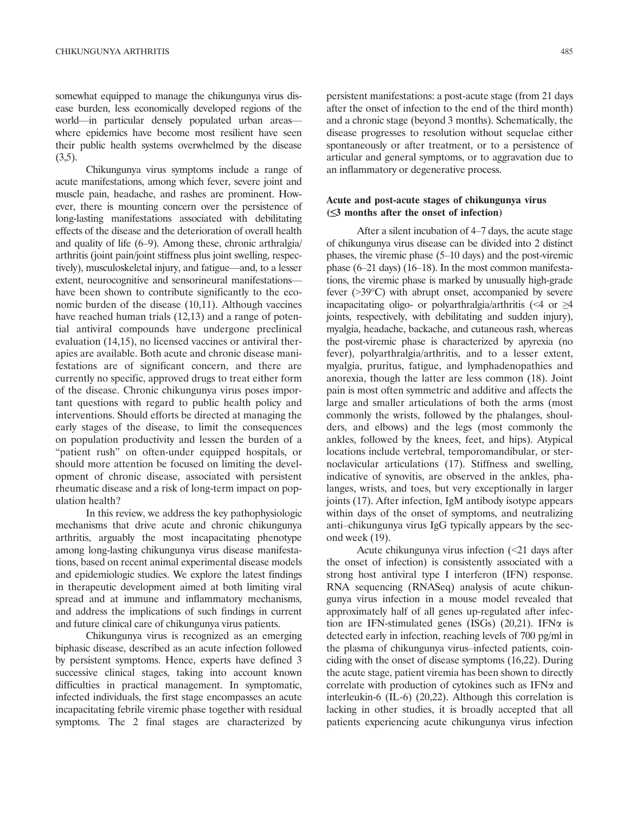somewhat equipped to manage the chikungunya virus disease burden, less economically developed regions of the world—in particular densely populated urban areas where epidemics have become most resilient have seen their public health systems overwhelmed by the disease  $(3,5)$ .

Chikungunya virus symptoms include a range of acute manifestations, among which fever, severe joint and muscle pain, headache, and rashes are prominent. However, there is mounting concern over the persistence of long-lasting manifestations associated with debilitating effects of the disease and the deterioration of overall health and quality of life (6–9). Among these, chronic arthralgia/ arthritis (joint pain/joint stiffness plus joint swelling, respectively), musculoskeletal injury, and fatigue—and, to a lesser extent, neurocognitive and sensorineural manifestations have been shown to contribute significantly to the economic burden of the disease (10,11). Although vaccines have reached human trials (12,13) and a range of potential antiviral compounds have undergone preclinical evaluation (14,15), no licensed vaccines or antiviral therapies are available. Both acute and chronic disease manifestations are of significant concern, and there are currently no specific, approved drugs to treat either form of the disease. Chronic chikungunya virus poses important questions with regard to public health policy and interventions. Should efforts be directed at managing the early stages of the disease, to limit the consequences on population productivity and lessen the burden of a "patient rush" on often-under equipped hospitals, or should more attention be focused on limiting the development of chronic disease, associated with persistent rheumatic disease and a risk of long-term impact on population health?

In this review, we address the key pathophysiologic mechanisms that drive acute and chronic chikungunya arthritis, arguably the most incapacitating phenotype among long-lasting chikungunya virus disease manifestations, based on recent animal experimental disease models and epidemiologic studies. We explore the latest findings in therapeutic development aimed at both limiting viral spread and at immune and inflammatory mechanisms, and address the implications of such findings in current and future clinical care of chikungunya virus patients.

Chikungunya virus is recognized as an emerging biphasic disease, described as an acute infection followed by persistent symptoms. Hence, experts have defined 3 successive clinical stages, taking into account known difficulties in practical management. In symptomatic, infected individuals, the first stage encompasses an acute incapacitating febrile viremic phase together with residual symptoms. The 2 final stages are characterized by persistent manifestations: a post-acute stage (from 21 days after the onset of infection to the end of the third month) and a chronic stage (beyond 3 months). Schematically, the disease progresses to resolution without sequelae either spontaneously or after treatment, or to a persistence of articular and general symptoms, or to aggravation due to an inflammatory or degenerative process.

# Acute and post-acute stages of chikungunya virus  $(\leq)$  months after the onset of infection)

After a silent incubation of 4–7 days, the acute stage of chikungunya virus disease can be divided into 2 distinct phases, the viremic phase (5–10 days) and the post-viremic phase (6–21 days) (16–18). In the most common manifestations, the viremic phase is marked by unusually high-grade fever (>39°C) with abrupt onset, accompanied by severe incapacitating oligo- or polyarthralgia/arthritis (<4 or  $\geq$ 4 joints, respectively, with debilitating and sudden injury), myalgia, headache, backache, and cutaneous rash, whereas the post-viremic phase is characterized by apyrexia (no fever), polyarthralgia/arthritis, and to a lesser extent, myalgia, pruritus, fatigue, and lymphadenopathies and anorexia, though the latter are less common (18). Joint pain is most often symmetric and additive and affects the large and smaller articulations of both the arms (most commonly the wrists, followed by the phalanges, shoulders, and elbows) and the legs (most commonly the ankles, followed by the knees, feet, and hips). Atypical locations include vertebral, temporomandibular, or sternoclavicular articulations (17). Stiffness and swelling, indicative of synovitis, are observed in the ankles, phalanges, wrists, and toes, but very exceptionally in larger joints (17). After infection, IgM antibody isotype appears within days of the onset of symptoms, and neutralizing anti–chikungunya virus IgG typically appears by the second week (19).

Acute chikungunya virus infection (<21 days after the onset of infection) is consistently associated with a strong host antiviral type I interferon (IFN) response. RNA sequencing (RNASeq) analysis of acute chikungunya virus infection in a mouse model revealed that approximately half of all genes up-regulated after infection are IFN-stimulated genes (ISGs)  $(20,21)$ . IFN $\alpha$  is detected early in infection, reaching levels of 700 pg/ml in the plasma of chikungunya virus–infected patients, coinciding with the onset of disease symptoms (16,22). During the acute stage, patient viremia has been shown to directly correlate with production of cytokines such as  $IFN\alpha$  and interleukin-6 (IL-6) (20,22). Although this correlation is lacking in other studies, it is broadly accepted that all patients experiencing acute chikungunya virus infection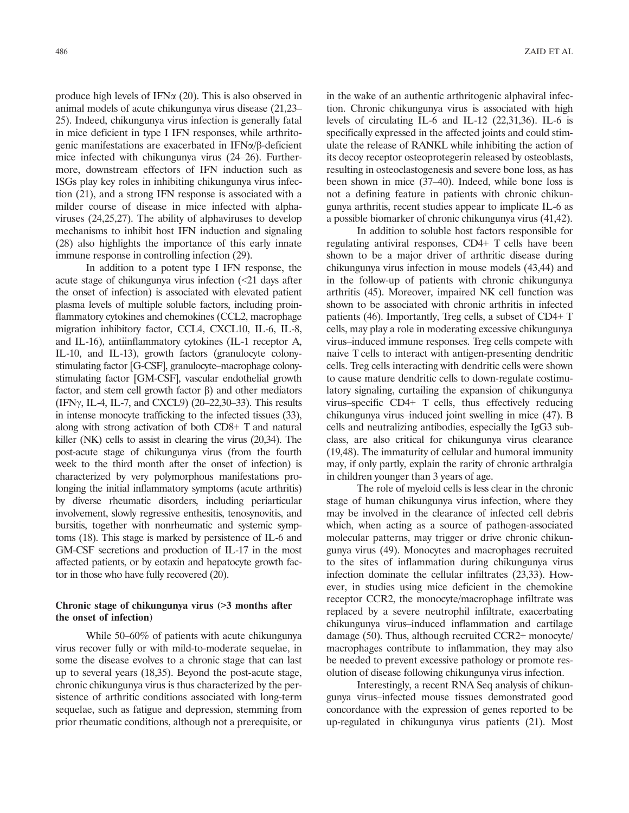produce high levels of IFN $\alpha$  (20). This is also observed in animal models of acute chikungunya virus disease (21,23– 25). Indeed, chikungunya virus infection is generally fatal in mice deficient in type I IFN responses, while arthritogenic manifestations are exacerbated in IFNa/b-deficient mice infected with chikungunya virus (24–26). Furthermore, downstream effectors of IFN induction such as ISGs play key roles in inhibiting chikungunya virus infection (21), and a strong IFN response is associated with a milder course of disease in mice infected with alphaviruses (24,25,27). The ability of alphaviruses to develop mechanisms to inhibit host IFN induction and signaling (28) also highlights the importance of this early innate immune response in controlling infection (29).

In addition to a potent type I IFN response, the acute stage of chikungunya virus infection (<21 days after the onset of infection) is associated with elevated patient plasma levels of multiple soluble factors, including proinflammatory cytokines and chemokines (CCL2, macrophage migration inhibitory factor, CCL4, CXCL10, IL-6, IL-8, and IL-16), antiinflammatory cytokines (IL-1 receptor A, IL-10, and IL-13), growth factors (granulocyte colonystimulating factor [G-CSF], granulocyte–macrophage colonystimulating factor [GM-CSF], vascular endothelial growth factor, and stem cell growth factor  $\beta$ ) and other mediators  $(IFN\gamma, IL-4, IL-7, and CXCL9)$  (20–22,30–33). This results in intense monocyte trafficking to the infected tissues (33), along with strong activation of both CD8+ T and natural killer (NK) cells to assist in clearing the virus (20,34). The post-acute stage of chikungunya virus (from the fourth week to the third month after the onset of infection) is characterized by very polymorphous manifestations prolonging the initial inflammatory symptoms (acute arthritis) by diverse rheumatic disorders, including periarticular involvement, slowly regressive enthesitis, tenosynovitis, and bursitis, together with nonrheumatic and systemic symptoms (18). This stage is marked by persistence of IL-6 and GM-CSF secretions and production of IL-17 in the most affected patients, or by eotaxin and hepatocyte growth factor in those who have fully recovered (20).

# Chronic stage of chikungunya virus (>3 months after the onset of infection)

While 50–60% of patients with acute chikungunya virus recover fully or with mild-to-moderate sequelae, in some the disease evolves to a chronic stage that can last up to several years (18,35). Beyond the post-acute stage, chronic chikungunya virus is thus characterized by the persistence of arthritic conditions associated with long-term sequelae, such as fatigue and depression, stemming from prior rheumatic conditions, although not a prerequisite, or in the wake of an authentic arthritogenic alphaviral infection. Chronic chikungunya virus is associated with high levels of circulating IL-6 and IL-12 (22,31,36). IL-6 is specifically expressed in the affected joints and could stimulate the release of RANKL while inhibiting the action of its decoy receptor osteoprotegerin released by osteoblasts, resulting in osteoclastogenesis and severe bone loss, as has been shown in mice (37–40). Indeed, while bone loss is not a defining feature in patients with chronic chikungunya arthritis, recent studies appear to implicate IL-6 as a possible biomarker of chronic chikungunya virus (41,42).

In addition to soluble host factors responsible for regulating antiviral responses, CD4+ T cells have been shown to be a major driver of arthritic disease during chikungunya virus infection in mouse models (43,44) and in the follow-up of patients with chronic chikungunya arthritis (45). Moreover, impaired NK cell function was shown to be associated with chronic arthritis in infected patients (46). Importantly, Treg cells, a subset of CD4+ T cells, may play a role in moderating excessive chikungunya virus–induced immune responses. Treg cells compete with naive T cells to interact with antigen-presenting dendritic cells. Treg cells interacting with dendritic cells were shown to cause mature dendritic cells to down-regulate costimulatory signaling, curtailing the expansion of chikungunya virus–specific CD4+ T cells, thus effectively reducing chikungunya virus–induced joint swelling in mice (47). B cells and neutralizing antibodies, especially the IgG3 subclass, are also critical for chikungunya virus clearance (19,48). The immaturity of cellular and humoral immunity may, if only partly, explain the rarity of chronic arthralgia in children younger than 3 years of age.

The role of myeloid cells is less clear in the chronic stage of human chikungunya virus infection, where they may be involved in the clearance of infected cell debris which, when acting as a source of pathogen-associated molecular patterns, may trigger or drive chronic chikungunya virus (49). Monocytes and macrophages recruited to the sites of inflammation during chikungunya virus infection dominate the cellular infiltrates (23,33). However, in studies using mice deficient in the chemokine receptor CCR2, the monocyte/macrophage infiltrate was replaced by a severe neutrophil infiltrate, exacerbating chikungunya virus–induced inflammation and cartilage damage (50). Thus, although recruited CCR2+ monocyte/ macrophages contribute to inflammation, they may also be needed to prevent excessive pathology or promote resolution of disease following chikungunya virus infection.

Interestingly, a recent RNA Seq analysis of chikungunya virus–infected mouse tissues demonstrated good concordance with the expression of genes reported to be up-regulated in chikungunya virus patients (21). Most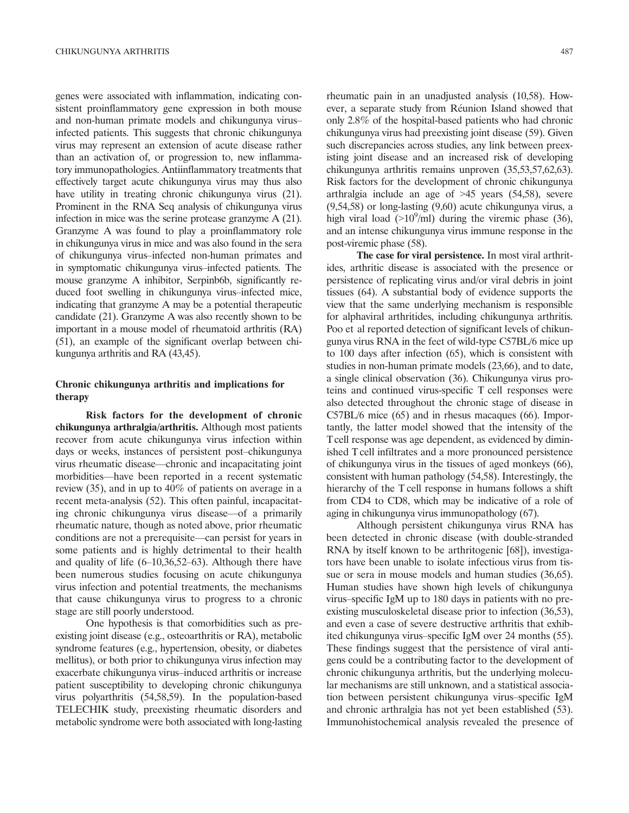genes were associated with inflammation, indicating consistent proinflammatory gene expression in both mouse and non-human primate models and chikungunya virus– infected patients. This suggests that chronic chikungunya virus may represent an extension of acute disease rather than an activation of, or progression to, new inflammatory immunopathologies. Antiinflammatory treatments that effectively target acute chikungunya virus may thus also have utility in treating chronic chikungunya virus (21). Prominent in the RNA Seq analysis of chikungunya virus infection in mice was the serine protease granzyme A (21). Granzyme A was found to play a proinflammatory role in chikungunya virus in mice and was also found in the sera of chikungunya virus–infected non-human primates and in symptomatic chikungunya virus–infected patients. The mouse granzyme A inhibitor, Serpinb6b, significantly reduced foot swelling in chikungunya virus–infected mice, indicating that granzyme A may be a potential therapeutic candidate (21). Granzyme A was also recently shown to be important in a mouse model of rheumatoid arthritis (RA) (51), an example of the significant overlap between chikungunya arthritis and RA (43,45).

# Chronic chikungunya arthritis and implications for therapy

Risk factors for the development of chronic chikungunya arthralgia/arthritis. Although most patients recover from acute chikungunya virus infection within days or weeks, instances of persistent post–chikungunya virus rheumatic disease—chronic and incapacitating joint morbidities—have been reported in a recent systematic review (35), and in up to 40% of patients on average in a recent meta-analysis (52). This often painful, incapacitating chronic chikungunya virus disease—of a primarily rheumatic nature, though as noted above, prior rheumatic conditions are not a prerequisite—can persist for years in some patients and is highly detrimental to their health and quality of life (6–10,36,52–63). Although there have been numerous studies focusing on acute chikungunya virus infection and potential treatments, the mechanisms that cause chikungunya virus to progress to a chronic stage are still poorly understood.

One hypothesis is that comorbidities such as preexisting joint disease (e.g., osteoarthritis or RA), metabolic syndrome features (e.g., hypertension, obesity, or diabetes mellitus), or both prior to chikungunya virus infection may exacerbate chikungunya virus–induced arthritis or increase patient susceptibility to developing chronic chikungunya virus polyarthritis (54,58,59). In the population-based TELECHIK study, preexisting rheumatic disorders and metabolic syndrome were both associated with long-lasting

rheumatic pain in an unadjusted analysis (10,58). However, a separate study from Réunion Island showed that only 2.8% of the hospital-based patients who had chronic chikungunya virus had preexisting joint disease (59). Given such discrepancies across studies, any link between preexisting joint disease and an increased risk of developing chikungunya arthritis remains unproven (35,53,57,62,63). Risk factors for the development of chronic chikungunya arthralgia include an age of >45 years (54,58), severe (9,54,58) or long-lasting (9,60) acute chikungunya virus, a high viral load  $(>10^9/\text{ml})$  during the viremic phase (36), and an intense chikungunya virus immune response in the post-viremic phase (58).

The case for viral persistence. In most viral arthritides, arthritic disease is associated with the presence or persistence of replicating virus and/or viral debris in joint tissues (64). A substantial body of evidence supports the view that the same underlying mechanism is responsible for alphaviral arthritides, including chikungunya arthritis. Poo et al reported detection of significant levels of chikungunya virus RNA in the feet of wild-type C57BL/6 mice up to 100 days after infection (65), which is consistent with studies in non-human primate models (23,66), and to date, a single clinical observation (36). Chikungunya virus proteins and continued virus-specific T cell responses were also detected throughout the chronic stage of disease in C57BL/6 mice (65) and in rhesus macaques (66). Importantly, the latter model showed that the intensity of the Tcell response was age dependent, as evidenced by diminished T cell infiltrates and a more pronounced persistence of chikungunya virus in the tissues of aged monkeys (66), consistent with human pathology (54,58). Interestingly, the hierarchy of the T cell response in humans follows a shift from CD4 to CD8, which may be indicative of a role of aging in chikungunya virus immunopathology (67).

Although persistent chikungunya virus RNA has been detected in chronic disease (with double-stranded RNA by itself known to be arthritogenic [68]), investigators have been unable to isolate infectious virus from tissue or sera in mouse models and human studies (36,65). Human studies have shown high levels of chikungunya virus–specific IgM up to 180 days in patients with no preexisting musculoskeletal disease prior to infection (36,53), and even a case of severe destructive arthritis that exhibited chikungunya virus–specific IgM over 24 months (55). These findings suggest that the persistence of viral antigens could be a contributing factor to the development of chronic chikungunya arthritis, but the underlying molecular mechanisms are still unknown, and a statistical association between persistent chikungunya virus–specific IgM and chronic arthralgia has not yet been established (53). Immunohistochemical analysis revealed the presence of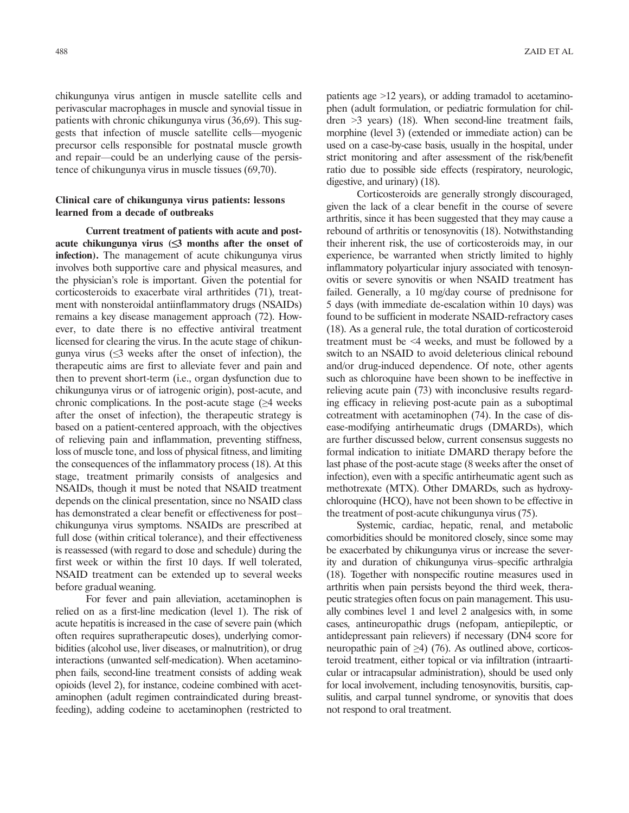chikungunya virus antigen in muscle satellite cells and perivascular macrophages in muscle and synovial tissue in patients with chronic chikungunya virus (36,69). This suggests that infection of muscle satellite cells—myogenic precursor cells responsible for postnatal muscle growth and repair—could be an underlying cause of the persistence of chikungunya virus in muscle tissues (69,70).

# Clinical care of chikungunya virus patients: lessons learned from a decade of outbreaks

Current treatment of patients with acute and postacute chikungunya virus  $(\leq)$  months after the onset of infection). The management of acute chikungunya virus involves both supportive care and physical measures, and the physician's role is important. Given the potential for corticosteroids to exacerbate viral arthritides (71), treatment with nonsteroidal antiinflammatory drugs (NSAIDs) remains a key disease management approach (72). However, to date there is no effective antiviral treatment licensed for clearing the virus. In the acute stage of chikungunya virus  $(\leq 3$  weeks after the onset of infection), the therapeutic aims are first to alleviate fever and pain and then to prevent short-term (i.e., organ dysfunction due to chikungunya virus or of iatrogenic origin), post-acute, and chronic complications. In the post-acute stage  $(\geq 4$  weeks after the onset of infection), the therapeutic strategy is based on a patient-centered approach, with the objectives of relieving pain and inflammation, preventing stiffness, loss of muscle tone, and loss of physical fitness, and limiting the consequences of the inflammatory process (18). At this stage, treatment primarily consists of analgesics and NSAIDs, though it must be noted that NSAID treatment depends on the clinical presentation, since no NSAID class has demonstrated a clear benefit or effectiveness for post– chikungunya virus symptoms. NSAIDs are prescribed at full dose (within critical tolerance), and their effectiveness is reassessed (with regard to dose and schedule) during the first week or within the first 10 days. If well tolerated, NSAID treatment can be extended up to several weeks before gradual weaning.

For fever and pain alleviation, acetaminophen is relied on as a first-line medication (level 1). The risk of acute hepatitis is increased in the case of severe pain (which often requires supratherapeutic doses), underlying comorbidities (alcohol use, liver diseases, or malnutrition), or drug interactions (unwanted self-medication). When acetaminophen fails, second-line treatment consists of adding weak opioids (level 2), for instance, codeine combined with acetaminophen (adult regimen contraindicated during breastfeeding), adding codeine to acetaminophen (restricted to patients age >12 years), or adding tramadol to acetaminophen (adult formulation, or pediatric formulation for children >3 years) (18). When second-line treatment fails, morphine (level 3) (extended or immediate action) can be used on a case-by-case basis, usually in the hospital, under strict monitoring and after assessment of the risk/benefit ratio due to possible side effects (respiratory, neurologic, digestive, and urinary) (18).

Corticosteroids are generally strongly discouraged, given the lack of a clear benefit in the course of severe arthritis, since it has been suggested that they may cause a rebound of arthritis or tenosynovitis (18). Notwithstanding their inherent risk, the use of corticosteroids may, in our experience, be warranted when strictly limited to highly inflammatory polyarticular injury associated with tenosynovitis or severe synovitis or when NSAID treatment has failed. Generally, a 10 mg/day course of prednisone for 5 days (with immediate de-escalation within 10 days) was found to be sufficient in moderate NSAID-refractory cases (18). As a general rule, the total duration of corticosteroid treatment must be <4 weeks, and must be followed by a switch to an NSAID to avoid deleterious clinical rebound and/or drug-induced dependence. Of note, other agents such as chloroquine have been shown to be ineffective in relieving acute pain (73) with inconclusive results regarding efficacy in relieving post-acute pain as a suboptimal cotreatment with acetaminophen (74). In the case of disease-modifying antirheumatic drugs (DMARDs), which are further discussed below, current consensus suggests no formal indication to initiate DMARD therapy before the last phase of the post-acute stage (8 weeks after the onset of infection), even with a specific antirheumatic agent such as methotrexate (MTX). Other DMARDs, such as hydroxychloroquine (HCQ), have not been shown to be effective in the treatment of post-acute chikungunya virus (75).

Systemic, cardiac, hepatic, renal, and metabolic comorbidities should be monitored closely, since some may be exacerbated by chikungunya virus or increase the severity and duration of chikungunya virus–specific arthralgia (18). Together with nonspecific routine measures used in arthritis when pain persists beyond the third week, therapeutic strategies often focus on pain management. This usually combines level 1 and level 2 analgesics with, in some cases, antineuropathic drugs (nefopam, antiepileptic, or antidepressant pain relievers) if necessary (DN4 score for neuropathic pain of  $\geq$ 4) (76). As outlined above, corticosteroid treatment, either topical or via infiltration (intraarticular or intracapsular administration), should be used only for local involvement, including tenosynovitis, bursitis, capsulitis, and carpal tunnel syndrome, or synovitis that does not respond to oral treatment.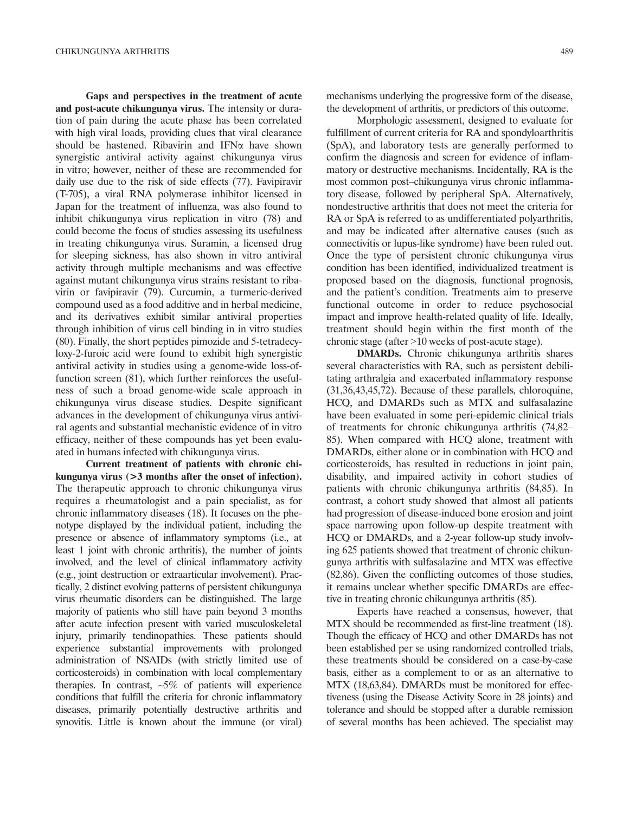Gaps and perspectives in the treatment of acute and post-acute chikungunya virus. The intensity or duration of pain during the acute phase has been correlated with high viral loads, providing clues that viral clearance should be hastened. Ribavirin and IFN $\alpha$  have shown synergistic antiviral activity against chikungunya virus in vitro; however, neither of these are recommended for daily use due to the risk of side effects (77). Favipiravir (T-705), a viral RNA polymerase inhibitor licensed in Japan for the treatment of influenza, was also found to inhibit chikungunya virus replication in vitro (78) and could become the focus of studies assessing its usefulness in treating chikungunya virus. Suramin, a licensed drug for sleeping sickness, has also shown in vitro antiviral activity through multiple mechanisms and was effective against mutant chikungunya virus strains resistant to ribavirin or favipiravir (79). Curcumin, a turmeric-derived compound used as a food additive and in herbal medicine, and its derivatives exhibit similar antiviral properties through inhibition of virus cell binding in in vitro studies (80). Finally, the short peptides pimozide and 5-tetradecyloxy-2-furoic acid were found to exhibit high synergistic antiviral activity in studies using a genome-wide loss-offunction screen (81), which further reinforces the usefulness of such a broad genome-wide scale approach in chikungunya virus disease studies. Despite significant advances in the development of chikungunya virus antiviral agents and substantial mechanistic evidence of in vitro efficacy, neither of these compounds has yet been evaluated in humans infected with chikungunya virus.

Current treatment of patients with chronic chikungunya virus (>3 months after the onset of infection). The therapeutic approach to chronic chikungunya virus requires a rheumatologist and a pain specialist, as for chronic inflammatory diseases (18). It focuses on the phenotype displayed by the individual patient, including the presence or absence of inflammatory symptoms (i.e., at least 1 joint with chronic arthritis), the number of joints involved, and the level of clinical inflammatory activity (e.g., joint destruction or extraarticular involvement). Practically, 2 distinct evolving patterns of persistent chikungunya virus rheumatic disorders can be distinguished. The large majority of patients who still have pain beyond 3 months after acute infection present with varied musculoskeletal injury, primarily tendinopathies. These patients should experience substantial improvements with prolonged administration of NSAIDs (with strictly limited use of corticosteroids) in combination with local complementary therapies. In contrast,  $\sim 5\%$  of patients will experience conditions that fulfill the criteria for chronic inflammatory diseases, primarily potentially destructive arthritis and synovitis. Little is known about the immune (or viral)

mechanisms underlying the progressive form of the disease, the development of arthritis, or predictors of this outcome.

Morphologic assessment, designed to evaluate for fulfillment of current criteria for RA and spondyloarthritis (SpA), and laboratory tests are generally performed to confirm the diagnosis and screen for evidence of inflammatory or destructive mechanisms. Incidentally, RA is the most common post–chikungunya virus chronic inflammatory disease, followed by peripheral SpA. Alternatively, nondestructive arthritis that does not meet the criteria for RA or SpA is referred to as undifferentiated polyarthritis, and may be indicated after alternative causes (such as connectivitis or lupus-like syndrome) have been ruled out. Once the type of persistent chronic chikungunya virus condition has been identified, individualized treatment is proposed based on the diagnosis, functional prognosis, and the patient's condition. Treatments aim to preserve functional outcome in order to reduce psychosocial impact and improve health-related quality of life. Ideally, treatment should begin within the first month of the chronic stage (after >10 weeks of post-acute stage).

DMARDs. Chronic chikungunya arthritis shares several characteristics with RA, such as persistent debilitating arthralgia and exacerbated inflammatory response (31,36,43,45,72). Because of these parallels, chloroquine, HCQ, and DMARDs such as MTX and sulfasalazine have been evaluated in some peri-epidemic clinical trials of treatments for chronic chikungunya arthritis (74,82– 85). When compared with HCQ alone, treatment with DMARDs, either alone or in combination with HCQ and corticosteroids, has resulted in reductions in joint pain, disability, and impaired activity in cohort studies of patients with chronic chikungunya arthritis (84,85). In contrast, a cohort study showed that almost all patients had progression of disease-induced bone erosion and joint space narrowing upon follow-up despite treatment with HCQ or DMARDs, and a 2-year follow-up study involving 625 patients showed that treatment of chronic chikungunya arthritis with sulfasalazine and MTX was effective (82,86). Given the conflicting outcomes of those studies, it remains unclear whether specific DMARDs are effective in treating chronic chikungunya arthritis (85).

Experts have reached a consensus, however, that MTX should be recommended as first-line treatment (18). Though the efficacy of HCQ and other DMARDs has not been established per se using randomized controlled trials, these treatments should be considered on a case-by-case basis, either as a complement to or as an alternative to MTX (18,63,84). DMARDs must be monitored for effectiveness (using the Disease Activity Score in 28 joints) and tolerance and should be stopped after a durable remission of several months has been achieved. The specialist may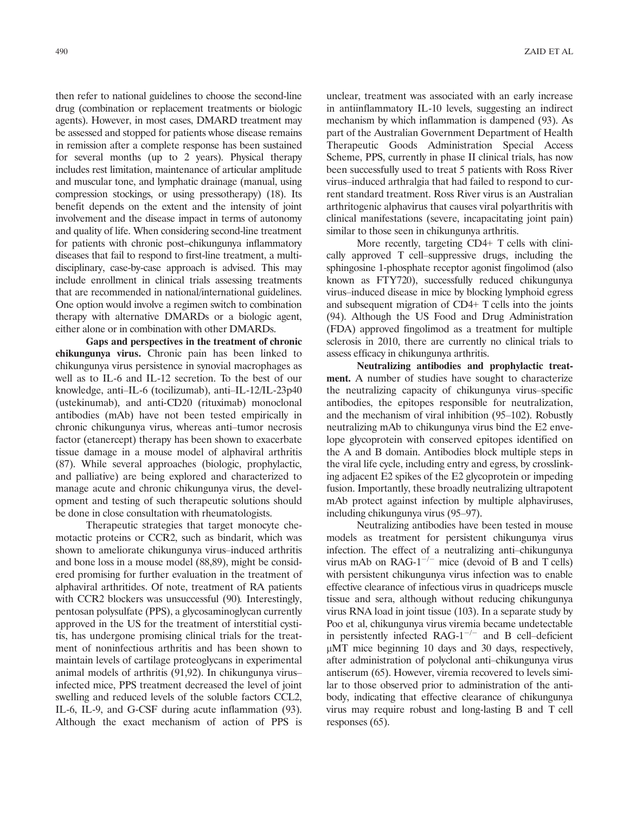then refer to national guidelines to choose the second-line drug (combination or replacement treatments or biologic agents). However, in most cases, DMARD treatment may be assessed and stopped for patients whose disease remains in remission after a complete response has been sustained for several months (up to 2 years). Physical therapy includes rest limitation, maintenance of articular amplitude and muscular tone, and lymphatic drainage (manual, using compression stockings, or using pressotherapy) (18). Its benefit depends on the extent and the intensity of joint involvement and the disease impact in terms of autonomy and quality of life. When considering second-line treatment for patients with chronic post–chikungunya inflammatory diseases that fail to respond to first-line treatment, a multidisciplinary, case-by-case approach is advised. This may include enrollment in clinical trials assessing treatments that are recommended in national/international guidelines. One option would involve a regimen switch to combination therapy with alternative DMARDs or a biologic agent, either alone or in combination with other DMARDs.

Gaps and perspectives in the treatment of chronic chikungunya virus. Chronic pain has been linked to chikungunya virus persistence in synovial macrophages as well as to IL-6 and IL-12 secretion. To the best of our knowledge, anti–IL-6 (tocilizumab), anti–IL-12/IL-23p40 (ustekinumab), and anti-CD20 (rituximab) monoclonal antibodies (mAb) have not been tested empirically in chronic chikungunya virus, whereas anti–tumor necrosis factor (etanercept) therapy has been shown to exacerbate tissue damage in a mouse model of alphaviral arthritis (87). While several approaches (biologic, prophylactic, and palliative) are being explored and characterized to manage acute and chronic chikungunya virus, the development and testing of such therapeutic solutions should be done in close consultation with rheumatologists.

Therapeutic strategies that target monocyte chemotactic proteins or CCR2, such as bindarit, which was shown to ameliorate chikungunya virus–induced arthritis and bone loss in a mouse model (88,89), might be considered promising for further evaluation in the treatment of alphaviral arthritides. Of note, treatment of RA patients with CCR2 blockers was unsuccessful (90). Interestingly, pentosan polysulfate (PPS), a glycosaminoglycan currently approved in the US for the treatment of interstitial cystitis, has undergone promising clinical trials for the treatment of noninfectious arthritis and has been shown to maintain levels of cartilage proteoglycans in experimental animal models of arthritis (91,92). In chikungunya virus– infected mice, PPS treatment decreased the level of joint swelling and reduced levels of the soluble factors CCL2, IL-6, IL-9, and G-CSF during acute inflammation (93). Although the exact mechanism of action of PPS is

unclear, treatment was associated with an early increase in antiinflammatory IL-10 levels, suggesting an indirect mechanism by which inflammation is dampened (93). As part of the Australian Government Department of Health Therapeutic Goods Administration Special Access Scheme, PPS, currently in phase II clinical trials, has now been successfully used to treat 5 patients with Ross River virus–induced arthralgia that had failed to respond to current standard treatment. Ross River virus is an Australian arthritogenic alphavirus that causes viral polyarthritis with clinical manifestations (severe, incapacitating joint pain) similar to those seen in chikungunya arthritis.

More recently, targeting CD4+ T cells with clinically approved T cell–suppressive drugs, including the sphingosine 1-phosphate receptor agonist fingolimod (also known as FTY720), successfully reduced chikungunya virus–induced disease in mice by blocking lymphoid egress and subsequent migration of CD4+ T cells into the joints (94). Although the US Food and Drug Administration (FDA) approved fingolimod as a treatment for multiple sclerosis in 2010, there are currently no clinical trials to assess efficacy in chikungunya arthritis.

Neutralizing antibodies and prophylactic treatment. A number of studies have sought to characterize the neutralizing capacity of chikungunya virus–specific antibodies, the epitopes responsible for neutralization, and the mechanism of viral inhibition (95–102). Robustly neutralizing mAb to chikungunya virus bind the E2 envelope glycoprotein with conserved epitopes identified on the A and B domain. Antibodies block multiple steps in the viral life cycle, including entry and egress, by crosslinking adjacent E2 spikes of the E2 glycoprotein or impeding fusion. Importantly, these broadly neutralizing ultrapotent mAb protect against infection by multiple alphaviruses, including chikungunya virus (95–97).

Neutralizing antibodies have been tested in mouse models as treatment for persistent chikungunya virus infection. The effect of a neutralizing anti–chikungunya virus mAb on  $RAG-1^{-/-}$  mice (devoid of B and T cells) with persistent chikungunya virus infection was to enable effective clearance of infectious virus in quadriceps muscle tissue and sera, although without reducing chikungunya virus RNA load in joint tissue (103). In a separate study by Poo et al, chikungunya virus viremia became undetectable in persistently infected RAG-1<sup>-/-</sup> and B cell-deficient  $\mu$ MT mice beginning 10 days and 30 days, respectively, after administration of polyclonal anti–chikungunya virus antiserum (65). However, viremia recovered to levels similar to those observed prior to administration of the antibody, indicating that effective clearance of chikungunya virus may require robust and long-lasting B and T cell responses (65).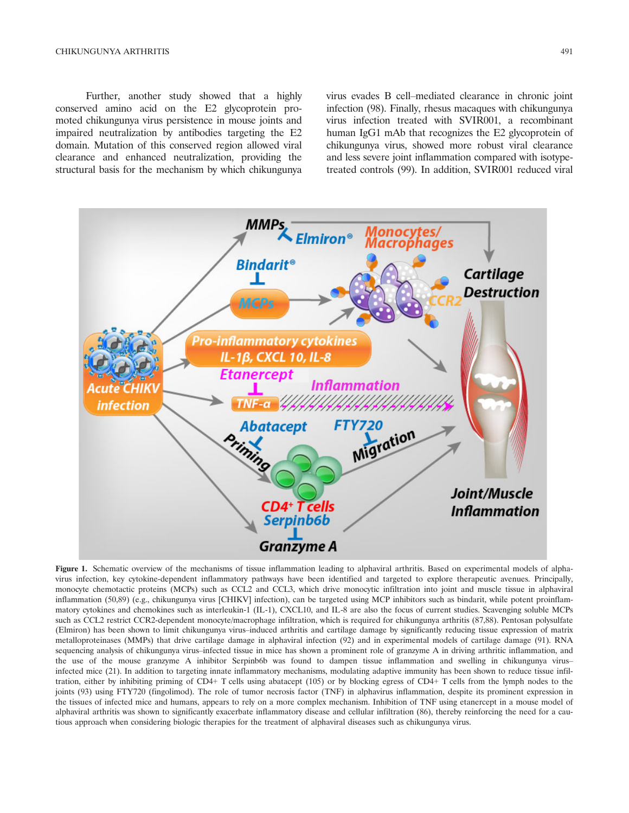Further, another study showed that a highly conserved amino acid on the E2 glycoprotein promoted chikungunya virus persistence in mouse joints and impaired neutralization by antibodies targeting the E2 domain. Mutation of this conserved region allowed viral clearance and enhanced neutralization, providing the structural basis for the mechanism by which chikungunya

virus evades B cell–mediated clearance in chronic joint infection (98). Finally, rhesus macaques with chikungunya virus infection treated with SVIR001, a recombinant human IgG1 mAb that recognizes the E2 glycoprotein of chikungunya virus, showed more robust viral clearance and less severe joint inflammation compared with isotypetreated controls (99). In addition, SVIR001 reduced viral



Figure 1. Schematic overview of the mechanisms of tissue inflammation leading to alphaviral arthritis. Based on experimental models of alphavirus infection, key cytokine-dependent inflammatory pathways have been identified and targeted to explore therapeutic avenues. Principally, monocyte chemotactic proteins (MCPs) such as CCL2 and CCL3, which drive monocytic infiltration into joint and muscle tissue in alphaviral inflammation (50,89) (e.g., chikungunya virus [CHIKV] infection), can be targeted using MCP inhibitors such as bindarit, while potent proinflammatory cytokines and chemokines such as interleukin-1 (IL-1), CXCL10, and IL-8 are also the focus of current studies. Scavenging soluble MCPs such as CCL2 restrict CCR2-dependent monocyte/macrophage infiltration, which is required for chikungunya arthritis (87,88). Pentosan polysulfate (Elmiron) has been shown to limit chikungunya virus–induced arthritis and cartilage damage by significantly reducing tissue expression of matrix metalloproteinases (MMPs) that drive cartilage damage in alphaviral infection (92) and in experimental models of cartilage damage (91). RNA sequencing analysis of chikungunya virus–infected tissue in mice has shown a prominent role of granzyme A in driving arthritic inflammation, and the use of the mouse granzyme A inhibitor Serpinb6b was found to dampen tissue inflammation and swelling in chikungunya virus– infected mice (21). In addition to targeting innate inflammatory mechanisms, modulating adaptive immunity has been shown to reduce tissue infiltration, either by inhibiting priming of CD4+ T cells using abatacept (105) or by blocking egress of CD4+ T cells from the lymph nodes to the joints (93) using FTY720 (fingolimod). The role of tumor necrosis factor (TNF) in alphavirus inflammation, despite its prominent expression in the tissues of infected mice and humans, appears to rely on a more complex mechanism. Inhibition of TNF using etanercept in a mouse model of alphaviral arthritis was shown to significantly exacerbate inflammatory disease and cellular infiltration (86), thereby reinforcing the need for a cautious approach when considering biologic therapies for the treatment of alphaviral diseases such as chikungunya virus.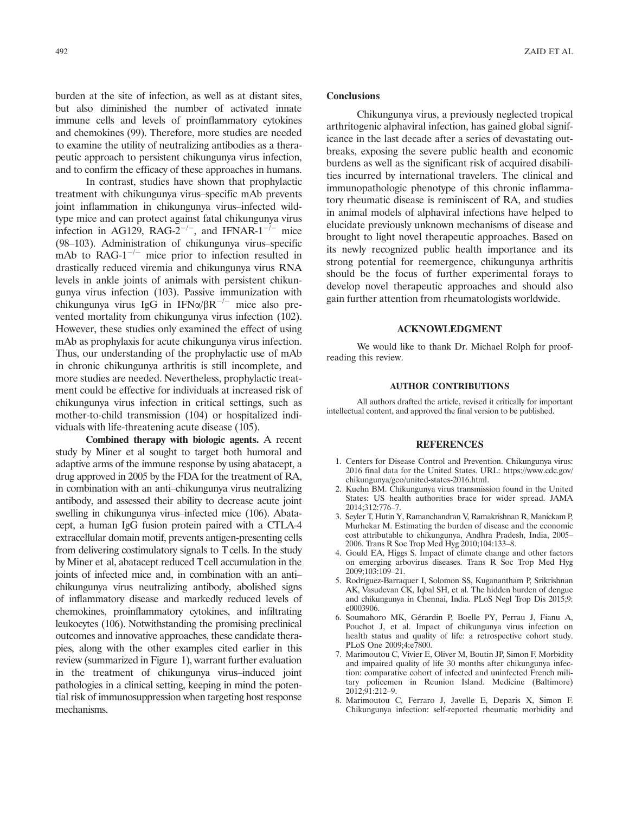burden at the site of infection, as well as at distant sites, but also diminished the number of activated innate immune cells and levels of proinflammatory cytokines and chemokines (99). Therefore, more studies are needed to examine the utility of neutralizing antibodies as a therapeutic approach to persistent chikungunya virus infection, and to confirm the efficacy of these approaches in humans.

In contrast, studies have shown that prophylactic treatment with chikungunya virus–specific mAb prevents joint inflammation in chikungunya virus–infected wildtype mice and can protect against fatal chikungunya virus infection in AG129, RAG-2<sup>-/-</sup>, and IFNAR-1<sup>-/-</sup> mice (98–103). Administration of chikungunya virus–specific mAb to  $RAG-1^{-/-}$  mice prior to infection resulted in drastically reduced viremia and chikungunya virus RNA levels in ankle joints of animals with persistent chikungunya virus infection (103). Passive immunization with chikungunya virus IgG in IFN $\alpha/\beta R^{-/-}$  mice also prevented mortality from chikungunya virus infection (102). However, these studies only examined the effect of using mAb as prophylaxis for acute chikungunya virus infection. Thus, our understanding of the prophylactic use of mAb in chronic chikungunya arthritis is still incomplete, and more studies are needed. Nevertheless, prophylactic treatment could be effective for individuals at increased risk of chikungunya virus infection in critical settings, such as mother-to-child transmission (104) or hospitalized individuals with life-threatening acute disease (105).

Combined therapy with biologic agents. A recent study by Miner et al sought to target both humoral and adaptive arms of the immune response by using abatacept, a drug approved in 2005 by the FDA for the treatment of RA, in combination with an anti–chikungunya virus neutralizing antibody, and assessed their ability to decrease acute joint swelling in chikungunya virus–infected mice (106). Abatacept, a human IgG fusion protein paired with a CTLA-4 extracellular domain motif, prevents antigen-presenting cells from delivering costimulatory signals to T cells. In the study by Miner et al, abatacept reduced Tcell accumulation in the joints of infected mice and, in combination with an anti– chikungunya virus neutralizing antibody, abolished signs of inflammatory disease and markedly reduced levels of chemokines, proinflammatory cytokines, and infiltrating leukocytes (106). Notwithstanding the promising preclinical outcomes and innovative approaches, these candidate therapies, along with the other examples cited earlier in this review (summarized in Figure 1), warrant further evaluation in the treatment of chikungunya virus–induced joint pathologies in a clinical setting, keeping in mind the potential risk of immunosuppression when targeting host response mechanisms.

#### **Conclusions**

Chikungunya virus, a previously neglected tropical arthritogenic alphaviral infection, has gained global significance in the last decade after a series of devastating outbreaks, exposing the severe public health and economic burdens as well as the significant risk of acquired disabilities incurred by international travelers. The clinical and immunopathologic phenotype of this chronic inflammatory rheumatic disease is reminiscent of RA, and studies in animal models of alphaviral infections have helped to elucidate previously unknown mechanisms of disease and brought to light novel therapeutic approaches. Based on its newly recognized public health importance and its strong potential for reemergence, chikungunya arthritis should be the focus of further experimental forays to develop novel therapeutic approaches and should also gain further attention from rheumatologists worldwide.

#### ACKNOWLEDGMENT

We would like to thank Dr. Michael Rolph for proofreading this review.

#### AUTHOR CONTRIBUTIONS

All authors drafted the article, revised it critically for important intellectual content, and approved the final version to be published.

#### **REFERENCES**

- 1. Centers for Disease Control and Prevention. Chikungunya virus: 2016 final data for the United States. URL: https://www.cdc.gov/ chikungunya/geo/united-states-2016.html.
- 2. Kuehn BM. Chikungunya virus transmission found in the United States: US health authorities brace for wider spread. JAMA 2014;312:776–7.
- 3. Seyler T, Hutin Y, Ramanchandran V, Ramakrishnan R, Manickam P, Murhekar M. Estimating the burden of disease and the economic cost attributable to chikungunya, Andhra Pradesh, India, 2005– 2006. Trans R Soc Trop Med Hyg 2010;104:133–8.
- 4. Gould EA, Higgs S. Impact of climate change and other factors on emerging arbovirus diseases. Trans R Soc Trop Med Hyg 2009;103:109–21.
- 5. Rodrıguez-Barraquer I, Solomon SS, Kuganantham P, Srikrishnan AK, Vasudevan CK, Iqbal SH, et al. The hidden burden of dengue and chikungunya in Chennai, India. PLoS Negl Trop Dis 2015;9: e0003906.
- 6. Soumahoro MK, Gerardin P, Boelle PY, Perrau J, Fianu A, Pouchot J, et al. Impact of chikungunya virus infection on health status and quality of life: a retrospective cohort study. PLoS One 2009;4:e7800.
- 7. Marimoutou C, Vivier E, Oliver M, Boutin JP, Simon F. Morbidity and impaired quality of life 30 months after chikungunya infection: comparative cohort of infected and uninfected French military policemen in Reunion Island. Medicine (Baltimore) 2012;91:212–9.
- 8. Marimoutou C, Ferraro J, Javelle E, Deparis X, Simon F. Chikungunya infection: self-reported rheumatic morbidity and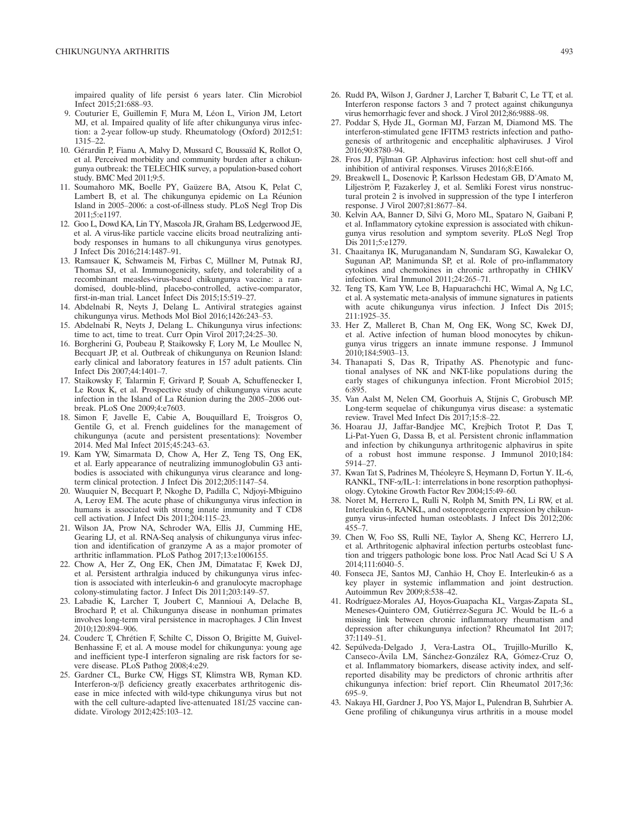impaired quality of life persist 6 years later. Clin Microbiol Infect 2015;21:688–93.

- 9. Couturier E, Guillemin F, Mura M, Léon L, Virion JM, Letort MJ, et al. Impaired quality of life after chikungunya virus infection: a 2-year follow-up study. Rheumatology (Oxford) 2012;51: 1315–22.
- 10. Gérardin P, Fianu A, Malvy D, Mussard C, Boussaïd K, Rollot O, et al. Perceived morbidity and community burden after a chikungunya outbreak: the TELECHIK survey, a population-based cohort study. BMC Med 2011;9:5.
- 11. Soumahoro MK, Boelle PY, Gaüzere BA, Atsou K, Pelat C, Lambert B, et al. The chikungunya epidemic on La Réunion Island in 2005–2006: a cost-of-illness study. PLoS Negl Trop Dis 2011;5:e1197.
- 12. Goo L, Dowd KA, Lin TY, Mascola JR, Graham BS, Ledgerwood JE, et al. A virus-like particle vaccine elicits broad neutralizing antibody responses in humans to all chikungunya virus genotypes. J Infect Dis 2016;214:1487–91.
- 13. Ramsauer K, Schwameis M, Firbas C, Müllner M, Putnak RJ, Thomas SJ, et al. Immunogenicity, safety, and tolerability of a recombinant measles-virus-based chikungunya vaccine: a randomised, double-blind, placebo-controlled, active-comparator, first-in-man trial. Lancet Infect Dis 2015;15:519–27.
- 14. Abdelnabi R, Neyts J, Delang L. Antiviral strategies against chikungunya virus. Methods Mol Biol 2016;1426:243–53.
- 15. Abdelnabi R, Neyts J, Delang L. Chikungunya virus infections: time to act, time to treat. Curr Opin Virol 2017;24:25–30.
- 16. Borgherini G, Poubeau P, Staikowsky F, Lory M, Le Moullec N, Becquart JP, et al. Outbreak of chikungunya on Reunion Island: early clinical and laboratory features in 157 adult patients. Clin Infect Dis 2007;44:1401–7.
- 17. Staikowsky F, Talarmin F, Grivard P, Souab A, Schuffenecker I, Le Roux K, et al. Prospective study of chikungunya virus acute infection in the Island of La Reunion during the 2005–2006 outbreak. PLoS One 2009;4:e7603.
- 18. Simon F, Javelle E, Cabie A, Bouquillard E, Troisgros O, Gentile G, et al. French guidelines for the management of chikungunya (acute and persistent presentations): November 2014. Med Mal Infect 2015;45:243–63.
- 19. Kam YW, Simarmata D, Chow A, Her Z, Teng TS, Ong EK, et al. Early appearance of neutralizing immunoglobulin G3 antibodies is associated with chikungunya virus clearance and longterm clinical protection. J Infect Dis 2012;205:1147–54.
- 20. Wauquier N, Becquart P, Nkoghe D, Padilla C, Ndjoyi-Mbiguino A, Leroy EM. The acute phase of chikungunya virus infection in humans is associated with strong innate immunity and T CD8 cell activation. J Infect Dis 2011;204:115–23.
- 21. Wilson JA, Prow NA, Schroder WA, Ellis JJ, Cumming HE, Gearing LJ, et al. RNA-Seq analysis of chikungunya virus infection and identification of granzyme A as a major promoter of arthritic inflammation. PLoS Pathog 2017;13:e1006155.
- 22. Chow A, Her Z, Ong EK, Chen JM, Dimatatac F, Kwek DJ, et al. Persistent arthralgia induced by chikungunya virus infection is associated with interleukin-6 and granulocyte macrophage colony-stimulating factor. J Infect Dis 2011;203:149–57.
- 23. Labadie K, Larcher T, Joubert C, Mannioui A, Delache B, Brochard P, et al. Chikungunya disease in nonhuman primates involves long-term viral persistence in macrophages. J Clin Invest 2010;120:894–906.
- 24. Couderc T, Chretien F, Schilte C, Disson O, Brigitte M, Guivel-Benhassine F, et al. A mouse model for chikungunya: young age and inefficient type-I interferon signaling are risk factors for severe disease. PLoS Pathog 2008;4:e29.
- 25. Gardner CL, Burke CW, Higgs ST, Klimstra WB, Ryman KD. Interferon- $\alpha/\beta$  deficiency greatly exacerbates arthritogenic disease in mice infected with wild-type chikungunya virus but not with the cell culture-adapted live-attenuated 181/25 vaccine candidate. Virology 2012;425:103–12.
- 26. Rudd PA, Wilson J, Gardner J, Larcher T, Babarit C, Le TT, et al. Interferon response factors 3 and 7 protect against chikungunya virus hemorrhagic fever and shock. J Virol 2012;86:9888–98.
- 27. Poddar S, Hyde JL, Gorman MJ, Farzan M, Diamond MS. The interferon-stimulated gene IFITM3 restricts infection and pathogenesis of arthritogenic and encephalitic alphaviruses. J Virol 2016;90:8780–94.
- 28. Fros JJ, Pijlman GP. Alphavirus infection: host cell shut-off and inhibition of antiviral responses. Viruses 2016;8:E166.
- 29. Breakwell L, Dosenovic P, Karlsson Hedestam GB, D'Amato M, Liljeström P, Fazakerley J, et al. Semliki Forest virus nonstructural protein 2 is involved in suppression of the type I interferon response. J Virol 2007;81:8677–84.
- 30. Kelvin AA, Banner D, Silvi G, Moro ML, Spataro N, Gaibani P, et al. Inflammatory cytokine expression is associated with chikungunya virus resolution and symptom severity. PLoS Negl Trop Dis 2011;5:e1279.
- 31. Chaaitanya IK, Muruganandam N, Sundaram SG, Kawalekar O, Sugunan AP, Manimunda SP, et al. Role of pro-inflammatory cytokines and chemokines in chronic arthropathy in CHIKV infection. Viral Immunol 2011;24:265–71.
- 32. Teng TS, Kam YW, Lee B, Hapuarachchi HC, Wimal A, Ng LC, et al. A systematic meta-analysis of immune signatures in patients with acute chikungunya virus infection. J Infect Dis 2015; 211:1925–35.
- 33. Her Z, Malleret B, Chan M, Ong EK, Wong SC, Kwek DJ, et al. Active infection of human blood monocytes by chikungunya virus triggers an innate immune response. J Immunol 2010;184:5903–13.
- 34. Thanapati S, Das R, Tripathy AS. Phenotypic and functional analyses of NK and NKT-like populations during the early stages of chikungunya infection. Front Microbiol 2015; 6:895.
- 35. Van Aalst M, Nelen CM, Goorhuis A, Stijnis C, Grobusch MP. Long-term sequelae of chikungunya virus disease: a systematic review. Travel Med Infect Dis 2017;15:8–22.
- 36. Hoarau JJ, Jaffar-Bandjee MC, Krejbich Trotot P, Das T, Li-Pat-Yuen G, Dassa B, et al. Persistent chronic inflammation and infection by chikungunya arthritogenic alphavirus in spite of a robust host immune response. J Immunol 2010;184: 5914–27.
- 37. Kwan Tat S, Padrines M, Theoleyre S, Heymann D, Fortun Y. IL-6, RANKL, TNF- $\alpha$ /IL-1: interrelations in bone resorption pathophysiology. Cytokine Growth Factor Rev 2004;15:49–60.
- 38. Noret M, Herrero L, Rulli N, Rolph M, Smith PN, Li RW, et al. Interleukin 6, RANKL, and osteoprotegerin expression by chikungunya virus-infected human osteoblasts. J Infect Dis 2012;206:  $455 - 7$ .
- 39. Chen W, Foo SS, Rulli NE, Taylor A, Sheng KC, Herrero LJ, et al. Arthritogenic alphaviral infection perturbs osteoblast function and triggers pathologic bone loss. Proc Natl Acad Sci U S A 2014;111:6040–5.
- 40. Fonseca JE, Santos MJ, Canhão H, Choy E. Interleukin-6 as a key player in systemic inflammation and joint destruction. Autoimmun Rev 2009;8:538–42.
- 41. Rodrıguez-Morales AJ, Hoyos-Guapacha KL, Vargas-Zapata SL, Meneses-Quintero OM, Gutierrez-Segura JC. Would be IL-6 a missing link between chronic inflammatory rheumatism and depression after chikungunya infection? Rheumatol Int 2017; 37:1149–51.
- 42. Sepulveda-Delgado J, Vera-Lastra OL, Trujillo-Murillo K, Canseco-Ávila LM, Sánchez-González RA, Gómez-Cruz O, et al. Inflammatory biomarkers, disease activity index, and selfreported disability may be predictors of chronic arthritis after chikungunya infection: brief report. Clin Rheumatol 2017;36: 695–9.
- 43. Nakaya HI, Gardner J, Poo YS, Major L, Pulendran B, Suhrbier A. Gene profiling of chikungunya virus arthritis in a mouse model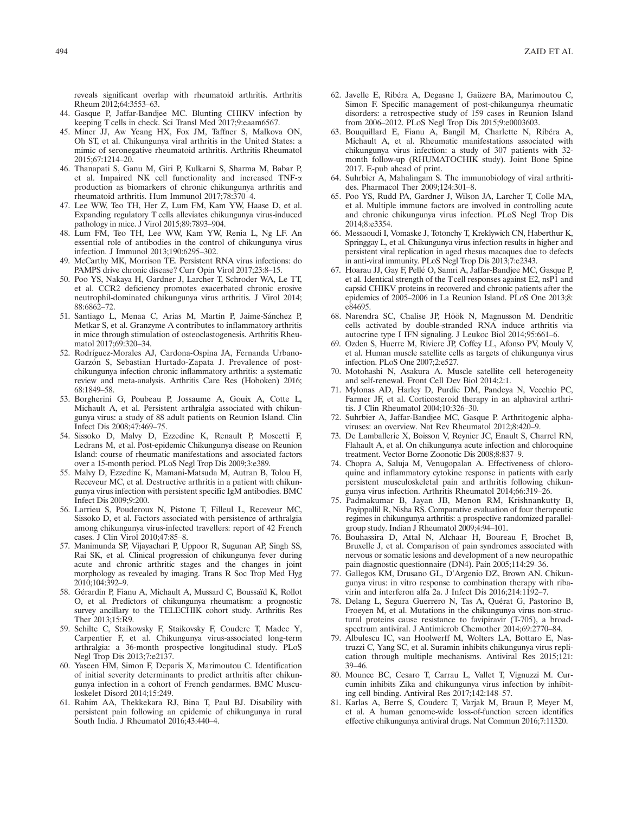reveals significant overlap with rheumatoid arthritis. Arthritis Rheum 2012;64:3553–63.

- 44. Gasque P, Jaffar-Bandjee MC. Blunting CHIKV infection by keeping T cells in check. Sci Transl Med 2017;9:eaam6567.
- 45. Miner JJ, Aw Yeang HX, Fox JM, Taffner S, Malkova ON, Oh ST, et al. Chikungunya viral arthritis in the United States: a mimic of seronegative rheumatoid arthritis. Arthritis Rheumatol 2015;67:1214–20.
- 46. Thanapati S, Ganu M, Giri P, Kulkarni S, Sharma M, Babar P, et al. Impaired NK cell functionality and increased TNF-a production as biomarkers of chronic chikungunya arthritis and rheumatoid arthritis. Hum Immunol 2017;78:370–4.
- 47. Lee WW, Teo TH, Her Z, Lum FM, Kam YW, Haase D, et al. Expanding regulatory T cells alleviates chikungunya virus-induced pathology in mice. J Virol 2015;89:7893–904.
- 48. Lum FM, Teo TH, Lee WW, Kam YW, Renia L, Ng LF. An essential role of antibodies in the control of chikungunya virus infection. J Immunol 2013;190:6295–302.
- 49. McCarthy MK, Morrison TE. Persistent RNA virus infections: do PAMPS drive chronic disease? Curr Opin Virol 2017;23:8–15.
- 50. Poo YS, Nakaya H, Gardner J, Larcher T, Schroder WA, Le TT, et al. CCR2 deficiency promotes exacerbated chronic erosive neutrophil-dominated chikungunya virus arthritis. J Virol 2014; 88:6862–72.
- 51. Santiago L, Menaa C, Arias M, Martin P, Jaime-Sánchez P, Metkar S, et al. Granzyme A contributes to inflammatory arthritis in mice through stimulation of osteoclastogenesis. Arthritis Rheumatol 2017;69:320–34.
- 52. Rodríguez-Morales AJ, Cardona-Ospina JA, Fernanda Urbano-Garzón S, Sebastian Hurtado-Zapata J. Prevalence of postchikungunya infection chronic inflammatory arthritis: a systematic review and meta-analysis. Arthritis Care Res (Hoboken) 2016; 68:1849–58.
- 53. Borgherini G, Poubeau P, Jossaume A, Gouix A, Cotte L, Michault A, et al. Persistent arthralgia associated with chikungunya virus: a study of 88 adult patients on Reunion Island. Clin Infect Dis 2008;47:469–75.
- 54. Sissoko D, Malvy D, Ezzedine K, Renault P, Moscetti F, Ledrans M, et al. Post-epidemic Chikungunya disease on Reunion Island: course of rheumatic manifestations and associated factors over a 15-month period. PLoS Negl Trop Dis 2009;3:e389.
- 55. Malvy D, Ezzedine K, Mamani-Matsuda M, Autran B, Tolou H, Receveur MC, et al. Destructive arthritis in a patient with chikungunya virus infection with persistent specific IgM antibodies. BMC Infect Dis 2009;9:200.
- 56. Larrieu S, Pouderoux N, Pistone T, Filleul L, Receveur MC, Sissoko D, et al. Factors associated with persistence of arthralgia among chikungunya virus-infected travellers: report of 42 French cases. J Clin Virol 2010;47:85–8.
- 57. Manimunda SP, Vijayachari P, Uppoor R, Sugunan AP, Singh SS, Rai SK, et al. Clinical progression of chikungunya fever during acute and chronic arthritic stages and the changes in joint morphology as revealed by imaging. Trans R Soc Trop Med Hyg 2010;104:392–9.
- 58. Gérardin P, Fianu A, Michault A, Mussard C, Boussaïd K, Rollot O, et al. Predictors of chikungunya rheumatism: a prognostic survey ancillary to the TELECHIK cohort study. Arthritis Res Ther 2013;15:R9.
- 59. Schilte C, Staikowsky F, Staikovsky F, Couderc T, Madec Y, Carpentier F, et al. Chikungunya virus-associated long-term arthralgia: a 36-month prospective longitudinal study. PLoS Negl Trop Dis 2013;7:e2137.
- 60. Yaseen HM, Simon F, Deparis X, Marimoutou C. Identification of initial severity determinants to predict arthritis after chikungunya infection in a cohort of French gendarmes. BMC Musculoskelet Disord 2014;15:249.
- 61. Rahim AA, Thekkekara RJ, Bina T, Paul BJ. Disability with persistent pain following an epidemic of chikungunya in rural South India. J Rheumatol 2016;43:440–4.
- 62. Javelle E, Ribéra A, Degasne I, Gaüzere BA, Marimoutou C, Simon F. Specific management of post-chikungunya rheumatic disorders: a retrospective study of 159 cases in Reunion Island from 2006–2012. PLoS Negl Trop Dis 2015;9:e0003603.
- 63. Bouquillard E, Fianu A, Bangil M, Charlette N, Ribéra A, Michault A, et al. Rheumatic manifestations associated with chikungunya virus infection: a study of 307 patients with 32 month follow-up (RHUMATOCHIK study). Joint Bone Spine 2017. E-pub ahead of print.
- 64. Suhrbier A, Mahalingam S. The immunobiology of viral arthritides. Pharmacol Ther 2009;124:301–8.
- 65. Poo YS, Rudd PA, Gardner J, Wilson JA, Larcher T, Colle MA, et al. Multiple immune factors are involved in controlling acute and chronic chikungunya virus infection. PLoS Negl Trop Dis 2014;8:e3354.
- 66. Messaoudi I, Vomaske J, Totonchy T, Kreklywich CN, Haberthur K, Springgay L, et al. Chikungunya virus infection results in higher and persistent viral replication in aged rhesus macaques due to defects in anti-viral immunity. PLoS Negl Trop Dis 2013;7:e2343.
- 67. Hoarau JJ, Gay F, Pellé O, Samri A, Jaffar-Bandjee MC, Gasque P, et al. Identical strength of the Tcell responses against E2, nsP1 and capsid CHIKV proteins in recovered and chronic patients after the epidemics of 2005–2006 in La Reunion Island. PLoS One 2013;8: e84695.
- 68. Narendra SC, Chalise JP, Höök N, Magnusson M. Dendritic cells activated by double-stranded RNA induce arthritis via autocrine type I IFN signaling. J Leukoc Biol 2014;95:661–6.
- 69. Ozden S, Huerre M, Riviere JP, Coffey LL, Afonso PV, Mouly V, et al. Human muscle satellite cells as targets of chikungunya virus infection. PLoS One 2007;2:e527.
- 70. Motohashi N, Asakura A. Muscle satellite cell heterogeneity and self-renewal. Front Cell Dev Biol 2014;2:1.
- 71. Mylonas AD, Harley D, Purdie DM, Pandeya N, Vecchio PC, Farmer JF, et al. Corticosteroid therapy in an alphaviral arthritis. J Clin Rheumatol 2004;10:326–30.
- 72. Suhrbier A, Jaffar-Bandjee MC, Gasque P. Arthritogenic alphaviruses: an overview. Nat Rev Rheumatol 2012;8:420–9.
- 73. De Lamballerie X, Boisson V, Reynier JC, Enault S, Charrel RN, Flahault A, et al. On chikungunya acute infection and chloroquine treatment. Vector Borne Zoonotic Dis 2008;8:837–9.
- 74. Chopra A, Saluja M, Venugopalan A. Effectiveness of chloroquine and inflammatory cytokine response in patients with early persistent musculoskeletal pain and arthritis following chikungunya virus infection. Arthritis Rheumatol 2014;66:319–26.
- 75. Padmakumar B, Jayan JB, Menon RM, Krishnankutty B, Payippallil R, Nisha RS. Comparative evaluation of four therapeutic regimes in chikungunya arthritis: a prospective randomized parallelgroup study. Indian J Rheumatol 2009;4:94–101.
- 76. Bouhassira D, Attal N, Alchaar H, Boureau F, Brochet B, Bruxelle J, et al. Comparison of pain syndromes associated with nervous or somatic lesions and development of a new neuropathic pain diagnostic questionnaire (DN4). Pain 2005;114:29–36.
- 77. Gallegos KM, Drusano GL, D'Argenio DZ, Brown AN. Chikungunya virus: in vitro response to combination therapy with ribavirin and interferon alfa 2a. J Infect Dis 2016;214:1192–7.
- 78. Delang L, Segura Guerrero N, Tas A, Quérat G, Pastorino B, Froeyen M, et al. Mutations in the chikungunya virus non-structural proteins cause resistance to favipiravir (T-705), a broadspectrum antiviral. J Antimicrob Chemother 2014;69:2770–84.
- 79. Albulescu IC, van Hoolwerff M, Wolters LA, Bottaro E, Nastruzzi C, Yang SC, et al. Suramin inhibits chikungunya virus replication through multiple mechanisms. Antiviral Res 2015;121: 39–46.
- 80. Mounce BC, Cesaro T, Carrau L, Vallet T, Vignuzzi M. Curcumin inhibits Zika and chikungunya virus infection by inhibiting cell binding. Antiviral Res 2017;142:148–57.
- 81. Karlas A, Berre S, Couderc T, Varjak M, Braun P, Meyer M, et al. A human genome-wide loss-of-function screen identifies effective chikungunya antiviral drugs. Nat Commun 2016;7:11320.